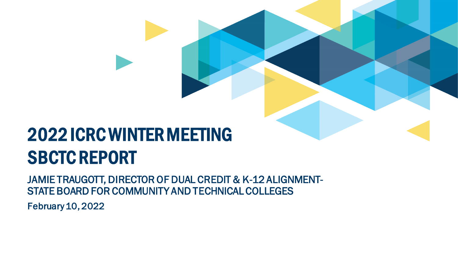# 2022 ICRC WINTER MEETING SBCTC REPORT

JAMIE TRAUGOTT, DIRECTOR OF DUAL CREDIT & K-12 ALIGNMENT-STATE BOARD FOR COMMUNITY AND TECHNICAL COLLEGES

February 10, 2022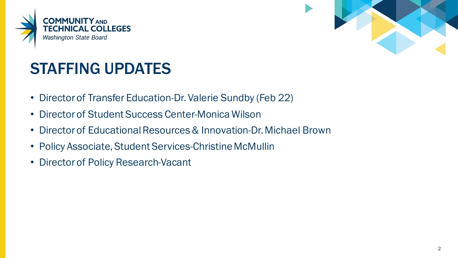



## STAFFING UPDATES

- Director of Transfer Education-Dr. Valerie Sundby (Feb 22)
- Director of Student Success Center-Monica Wilson
- Director of Educational Resources & Innovation-Dr. Michael Brown
- Policy Associate, Student Services-Christine McMullin
- Director of Policy Research-Vacant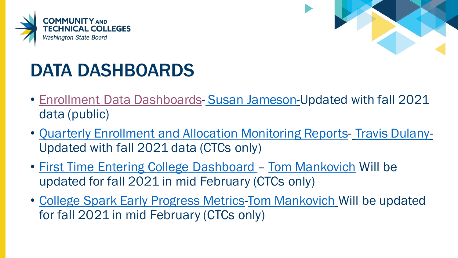



# DATA DASHBOARDS

- [Enrollment Data Dashboards-](https://www.sbctc.edu/colleges-staff/research/data-public/enrollment-data-dashboard.aspx) [Susan Jameson-](mailto:sjameson@sbctc.edu)Updated with fall 2021 data (public)
- [Quarterly Enrollment and Allocation Monitoring Reports-](https://www.sbctc.edu/colleges-staff/research/annual-reports-archive/enrollment.aspx) [Travis Dulany-](mailto:tdulany@sbctc.edu)Updated with fall 2021 data (CTCs only)
- [First Time Entering College Dashboard –](https://www.sbctc.edu/colleges-staff/collegeaccess/research-data/first-time-entering-student-outcomes-dashboard.aspx) [Tom Mankovich](mailto:tmankovich@sbctc.edu) Will be updated for fall 2021 in mid February (CTCs only)
- [College Spark Early Progress Metrics](https://www.sbctc.edu/colleges-staff/collegeaccess/research-data/college-spark-early-progress-metrics-dashboard.aspx)[-Tom Mankovich](mailto:tmankovich@sbctc.edu) Will be updated for fall 2021 in mid February (CTCs only)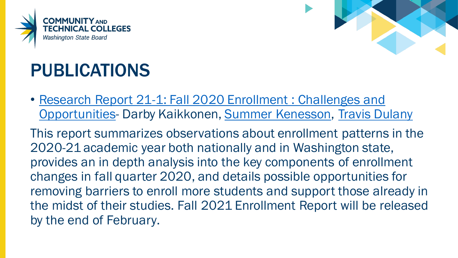



# PUBLICATIONS

• [Research Report 21-1: Fall 2020 Enrollment : Challenges and](https://www.sbctc.edu/resources/documents/colleges-staff/research/enrollment-research/fall-2020-enrollment-1-13-2021.pdf)  Opportunities- Darby Kaikkonen, [Summer Kenesson,](mailto:skenesson@sbctc.edu) [Travis Dulany](mailto:tdulany@sbctc.edu)

This report summarizes observations about enrollment patterns in the 2020-21 academic year both nationally and in Washington state, provides an in depth analysis into the key components of enrollment changes in fall quarter 2020, and details possible opportunities for removing barriers to enroll more students and support those already in the midst of their studies. Fall 2021 Enrollment Report will be released by the end of February.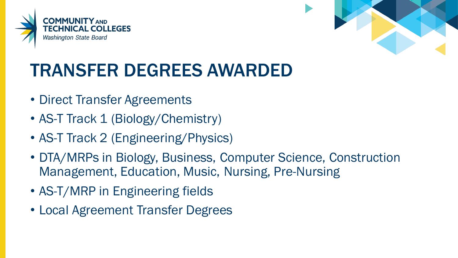



# TRANSFER DEGREES AWARDED

- Direct Transfer Agreements
- AS-T Track 1 (Biology/Chemistry)
- AS-T Track 2 (Engineering/Physics)
- DTA/MRPs in Biology, Business, Computer Science, Construction Management, Education, Music, Nursing, Pre-Nursing
- AS-T/MRP in Engineering fields
- Local Agreement Transfer Degrees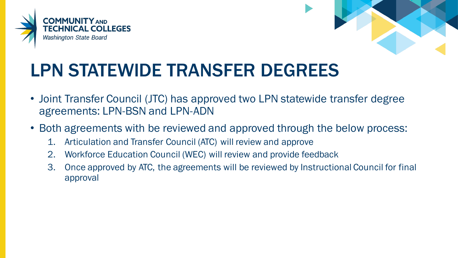



# LPN STATEWIDE TRANSFER DEGREES

- Joint Transfer Council (JTC) has approved two LPN statewide transfer degree agreements: LPN-BSN and LPN-ADN
- Both agreements with be reviewed and approved through the below process:
	- 1. Articulation and Transfer Council (ATC) will review and approve
	- 2. Workforce Education Council (WEC) will review and provide feedback
	- 3. Once approved by ATC, the agreements will be reviewed by Instructional Council for final approval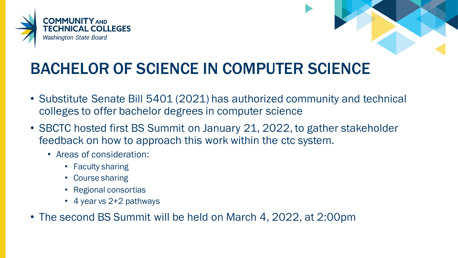



## BACHELOR OF SCIENCE IN COMPUTER SCIENCE

- Substitute Senate Bill 5401 (2021) has authorized community and technical colleges to offer bachelor degrees in computer science
- SBCTC hosted first BS Summit on January 21, 2022, to gather stakeholder feedback on how to approach this work within the ctc system.
	- Areas of consideration:
		- Faculty sharing
		- Course sharing
		- Regional consortias
		- 4 year vs 2+2 pathways
- The second BS Summit will be held on March 4, 2022, at 2:00pm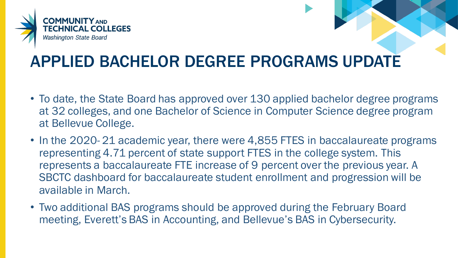

## APPLIED BACHELOR DEGREE PROGRAMS UPDATE

- To date, the State Board has approved over 130 applied bachelor degree programs at 32 colleges, and one Bachelor of Science in Computer Science degree program at Bellevue College.
- In the 2020-21 academic year, there were 4,855 FTES in baccalaureate programs representing 4.71 percent of state support FTES in the college system. This represents a baccalaureate FTE increase of 9 percent over the previous year. A SBCTC dashboard for baccalaureate student enrollment and progression will be available in March.
- Two additional BAS programs should be approved during the February Board meeting, Everett's BAS in Accounting, and Bellevue's BAS in Cybersecurity.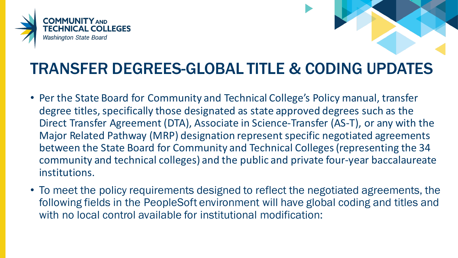



### TRANSFER DEGREES-GLOBAL TITLE & CODING UPDATES

- Per the State Board for Community and Technical College's Policy manual, transfer degree titles, specifically those designated as state approved degrees such as the Direct Transfer Agreement (DTA), Associate in Science-Transfer (AS-T), or any with the Major Related Pathway (MRP) designation represent specific negotiated agreements between the State Board for Community and Technical Colleges (representing the 34 community and technical colleges) and the public and private four-year baccalaureate institutions.
- To meet the policy requirements designed to reflect the negotiated agreements, the following fields in the PeopleSoft environment will have global coding and titles and with no local control available for institutional modification: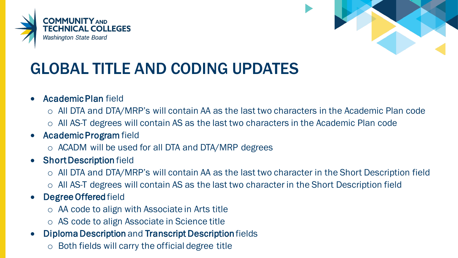



## GLOBAL TITLE AND CODING UPDATES

#### • Academic Plan field

- o All DTA and DTA/MRP's will contain AA as the last two characters in the Academic Plan code
- o All AS-T degrees will contain AS as the last two characters in the Academic Plan code

### • Academic Program field

o ACADM will be used for all DTA and DTA/MRP degrees

#### • Short Description field

- o All DTA and DTA/MRP's will contain AA as the last two character in the Short Description field
- o All AS-T degrees will contain AS as the last two character in the Short Description field

### • Degree Offered field

- o AA code to align with Associate in Arts title
- o AS code to align Associate in Science title
- Diploma Description and Transcript Description fields
	- o Both fields will carry the official degree title